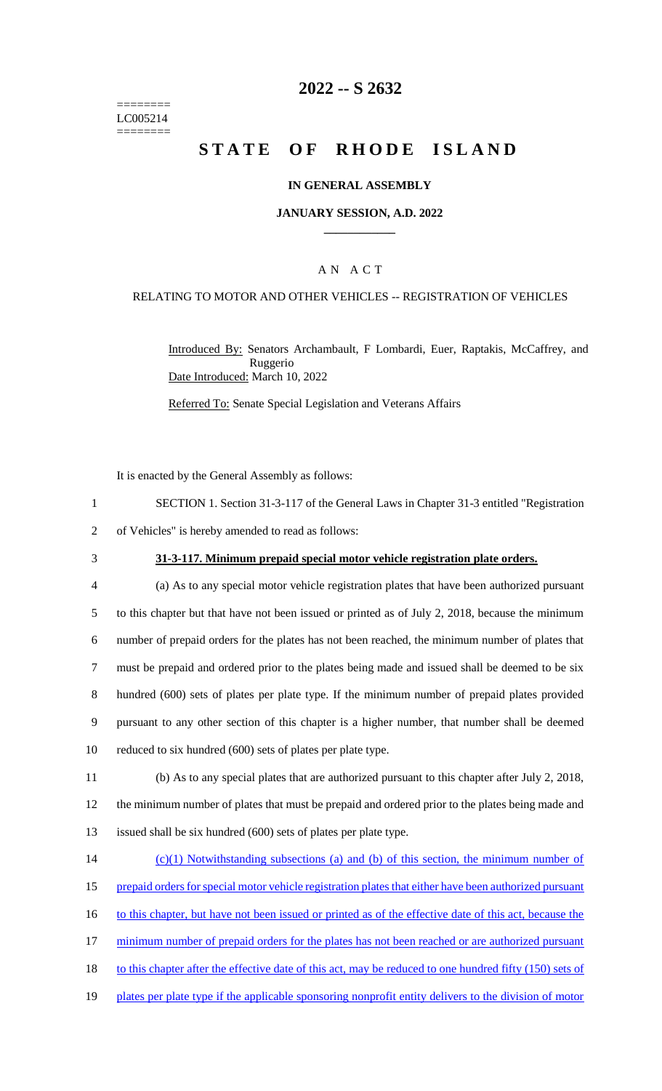======== LC005214 ========

## **2022 -- S 2632**

# **STATE OF RHODE ISLAND**

#### **IN GENERAL ASSEMBLY**

#### **JANUARY SESSION, A.D. 2022 \_\_\_\_\_\_\_\_\_\_\_\_**

### A N A C T

#### RELATING TO MOTOR AND OTHER VEHICLES -- REGISTRATION OF VEHICLES

Introduced By: Senators Archambault, F Lombardi, Euer, Raptakis, McCaffrey, and Ruggerio Date Introduced: March 10, 2022

Referred To: Senate Special Legislation and Veterans Affairs

It is enacted by the General Assembly as follows:

- 1 SECTION 1. Section 31-3-117 of the General Laws in Chapter 31-3 entitled "Registration
- 2 of Vehicles" is hereby amended to read as follows:
- 

#### 3 **31-3-117. Minimum prepaid special motor vehicle registration plate orders.**

 (a) As to any special motor vehicle registration plates that have been authorized pursuant to this chapter but that have not been issued or printed as of July 2, 2018, because the minimum number of prepaid orders for the plates has not been reached, the minimum number of plates that must be prepaid and ordered prior to the plates being made and issued shall be deemed to be six hundred (600) sets of plates per plate type. If the minimum number of prepaid plates provided pursuant to any other section of this chapter is a higher number, that number shall be deemed reduced to six hundred (600) sets of plates per plate type.

- 11 (b) As to any special plates that are authorized pursuant to this chapter after July 2, 2018, 12 the minimum number of plates that must be prepaid and ordered prior to the plates being made and 13 issued shall be six hundred (600) sets of plates per plate type.
- 14 (c)(1) Notwithstanding subsections (a) and (b) of this section, the minimum number of 15 prepaid orders for special motor vehicle registration plates that either have been authorized pursuant 16 to this chapter, but have not been issued or printed as of the effective date of this act, because the 17 minimum number of prepaid orders for the plates has not been reached or are authorized pursuant 18 to this chapter after the effective date of this act, may be reduced to one hundred fifty (150) sets of 19 plates per plate type if the applicable sponsoring nonprofit entity delivers to the division of motor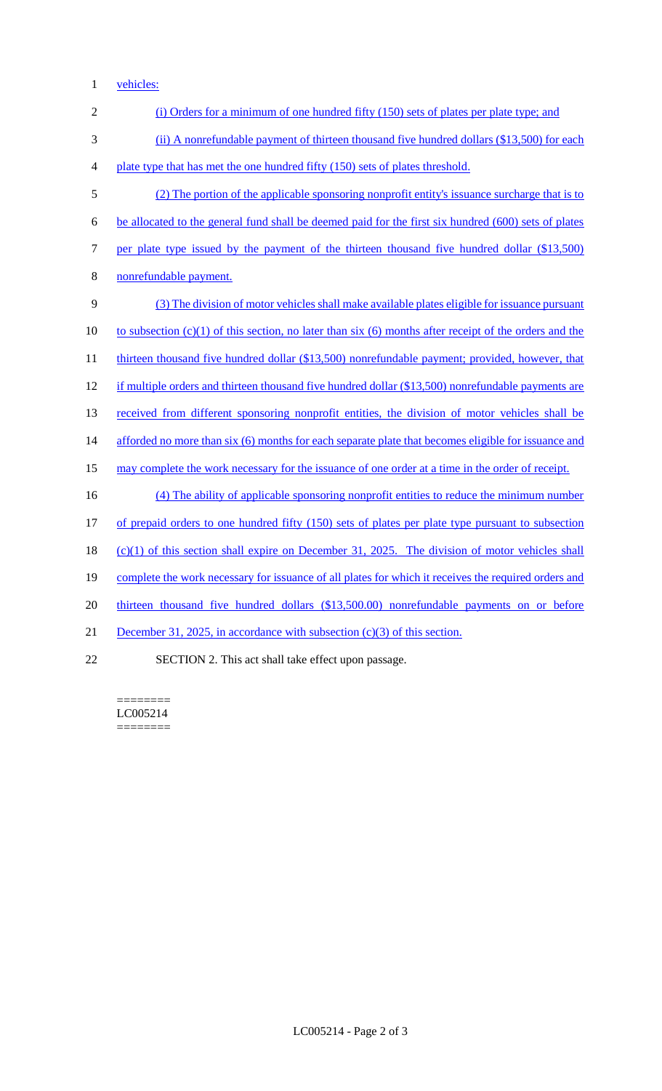1 vehicles:

| $\sqrt{2}$       | (i) Orders for a minimum of one hundred fifty (150) sets of plates per plate type; and                   |
|------------------|----------------------------------------------------------------------------------------------------------|
| 3                | (ii) A nonrefundable payment of thirteen thousand five hundred dollars (\$13,500) for each               |
| 4                | plate type that has met the one hundred fifty (150) sets of plates threshold.                            |
| 5                | (2) The portion of the applicable sponsoring nonprofit entity's issuance surcharge that is to            |
| 6                | be allocated to the general fund shall be deemed paid for the first six hundred (600) sets of plates     |
| $\boldsymbol{7}$ | per plate type issued by the payment of the thirteen thousand five hundred dollar (\$13,500)             |
| $8\,$            | nonrefundable payment.                                                                                   |
| 9                | (3) The division of motor vehicles shall make available plates eligible for issuance pursuant            |
| 10               | to subsection $(c)(1)$ of this section, no later than six (6) months after receipt of the orders and the |
| 11               | thirteen thousand five hundred dollar (\$13,500) nonrefundable payment; provided, however, that          |
| 12               | if multiple orders and thirteen thousand five hundred dollar (\$13,500) nonrefundable payments are       |
| 13               | received from different sponsoring nonprofit entities, the division of motor vehicles shall be           |
| 14               | afforded no more than six (6) months for each separate plate that becomes eligible for issuance and      |
| 15               | may complete the work necessary for the issuance of one order at a time in the order of receipt.         |
| 16               | (4) The ability of applicable sponsoring nonprofit entities to reduce the minimum number                 |
| 17               | of prepaid orders to one hundred fifty (150) sets of plates per plate type pursuant to subsection        |
| 18               | $(c)(1)$ of this section shall expire on December 31, 2025. The division of motor vehicles shall         |
| 19               | complete the work necessary for issuance of all plates for which it receives the required orders and     |
| 20               | thirteen thousand five hundred dollars (\$13,500.00) nonrefundable payments on or before                 |
| 21               | December 31, 2025, in accordance with subsection $(c)(3)$ of this section.                               |
| 22               | SECTION 2. This act shall take effect upon passage.                                                      |

======== LC005214  $=$